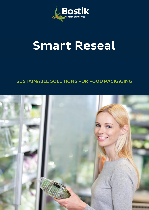

# **Smart Reseal**

### **SUSTAINABLE SOLUTIONS FOR FOOD PACKAGING**

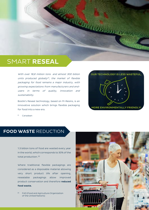## SMART **RESEAL**

With over 18,8 million tons and almost 300 billion units produced globally(1) , the market of flexible packaging for food remains a major industry, with growing expectations from manufacturers and endusers in terms of quality, innovation and sustainability.

Bostik's Reseal technology, based on M-Resins, is an innovative solution which brings flexible packaging for food into a new era.



(1) Canadean

#### **FOOD WASTE** REDUCTION

1.3 billion tons of food are wasted every year in the world, which corresponds to 30% of the total production. (2)

Where traditional flexible packagings are considered as a disposable material allowing very short product life after opening, resealable packagings allow improved product conservation and therefore **reduced food waste.**

(2) FAO (Food and Agriculture Organization of the United Nations)